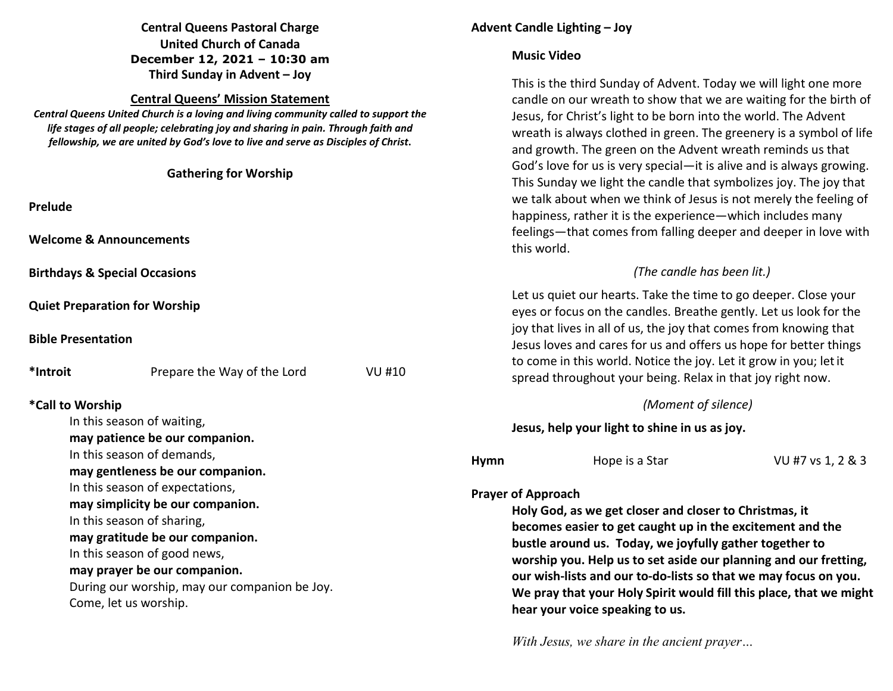# **Central Queens Pastoral Charge United Church of Canada December 12, 2021 – 10:30 am Third Sunday in Advent – Joy**

### **Central Queens' Mission Statement**

 *Central Queens United Church is a loving and living community called to support the life stages of all people; celebrating joy and sharing in pain. Through faith and fellowship, we are united by God's love to live and serve as Disciples of Christ***.** 

| <b>Gathering for Worship</b><br>Prelude<br><b>Welcome &amp; Announcements</b>                                                                                                                                                               |                                                                                                   |                                                                                                                                                                                                                                                                                                                                                                                                                                | and growth. The green on the Advent wreath reminds as that<br>God's love for us is very special—it is alive and is always growing.<br>This Sunday we light the candle that symbolizes joy. The joy that<br>we talk about when we think of Jesus is not merely the feeling of<br>happiness, rather it is the experience—which includes many<br>feelings-that comes from falling deeper and deeper in love with<br>this world. |                     |                   |  |
|---------------------------------------------------------------------------------------------------------------------------------------------------------------------------------------------------------------------------------------------|---------------------------------------------------------------------------------------------------|--------------------------------------------------------------------------------------------------------------------------------------------------------------------------------------------------------------------------------------------------------------------------------------------------------------------------------------------------------------------------------------------------------------------------------|------------------------------------------------------------------------------------------------------------------------------------------------------------------------------------------------------------------------------------------------------------------------------------------------------------------------------------------------------------------------------------------------------------------------------|---------------------|-------------------|--|
| <b>Birthdays &amp; Special Occasions</b>                                                                                                                                                                                                    |                                                                                                   |                                                                                                                                                                                                                                                                                                                                                                                                                                | (The candle has been lit.)                                                                                                                                                                                                                                                                                                                                                                                                   |                     |                   |  |
| <b>Quiet Preparation for Worship</b><br><b>Bible Presentation</b>                                                                                                                                                                           |                                                                                                   |                                                                                                                                                                                                                                                                                                                                                                                                                                | Let us quiet our hearts. Take the time to go deeper. Close your<br>eyes or focus on the candles. Breathe gently. Let us look for the<br>joy that lives in all of us, the joy that comes from knowing that<br>Jesus loves and cares for us and offers us hope for better things                                                                                                                                               |                     |                   |  |
| *Introit                                                                                                                                                                                                                                    | Prepare the Way of the Lord                                                                       | <b>VU #10</b>                                                                                                                                                                                                                                                                                                                                                                                                                  | to come in this world. Notice the joy. Let it grow in you; let it<br>spread throughout your being. Relax in that joy right now.                                                                                                                                                                                                                                                                                              |                     |                   |  |
|                                                                                                                                                                                                                                             | *Call to Worship                                                                                  |                                                                                                                                                                                                                                                                                                                                                                                                                                |                                                                                                                                                                                                                                                                                                                                                                                                                              | (Moment of silence) |                   |  |
| In this season of waiting,<br>may patience be our companion.                                                                                                                                                                                |                                                                                                   |                                                                                                                                                                                                                                                                                                                                                                                                                                | Jesus, help your light to shine in us as joy.                                                                                                                                                                                                                                                                                                                                                                                |                     |                   |  |
|                                                                                                                                                                                                                                             | In this season of demands,<br>may gentleness be our companion.<br>In this season of expectations, |                                                                                                                                                                                                                                                                                                                                                                                                                                | <b>Hymn</b><br><b>Prayer of Approach</b>                                                                                                                                                                                                                                                                                                                                                                                     | Hope is a Star      | VU #7 vs 1, 2 & 3 |  |
| may simplicity be our companion.<br>In this season of sharing,<br>may gratitude be our companion.<br>In this season of good news,<br>may prayer be our companion.<br>During our worship, may our companion be Joy.<br>Come, let us worship. |                                                                                                   | Holy God, as we get closer and closer to Christmas, it<br>becomes easier to get caught up in the excitement and the<br>bustle around us. Today, we joyfully gather together to<br>worship you. Help us to set aside our planning and our fretting,<br>our wish-lists and our to-do-lists so that we may focus on you.<br>We pray that your Holy Spirit would fill this place, that we might<br>hear your voice speaking to us. |                                                                                                                                                                                                                                                                                                                                                                                                                              |                     |                   |  |

*With Jesus, we share in the ancient prayer…* 

# **Advent Candle Lighting – Joy**

## **Music Video**

This is the third Sunday of Advent. Today we will light one more candle on our wreath to show that we are waiting for the birth of Jesus, for Christ's light to be born into the world. The Advent wreath is always clothed in green. The greenery is a symbol of life and growth. The green on the Advent wreath reminds us that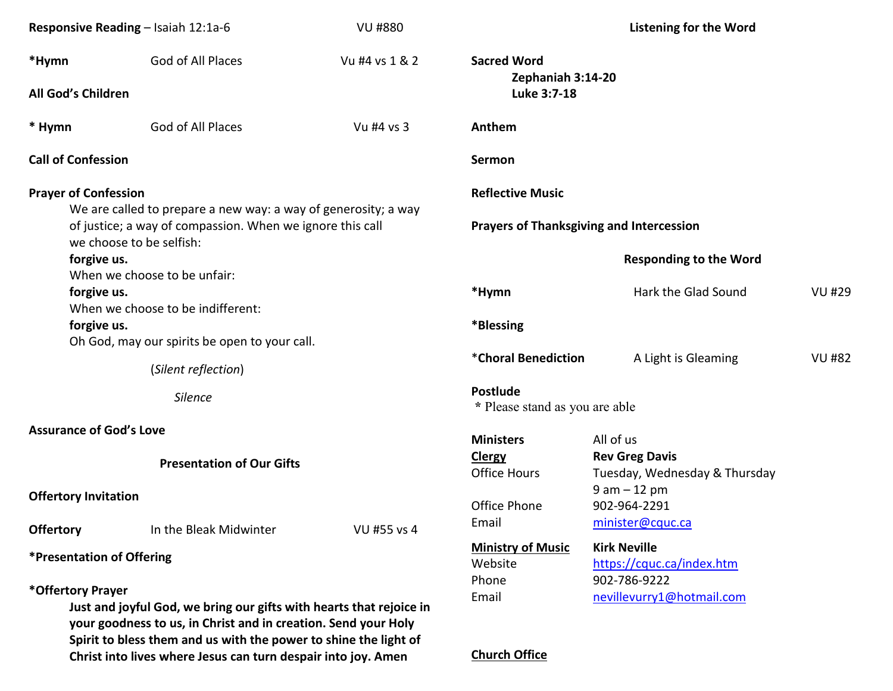| Responsive Reading - Isaiah 12:1a-6                                                                                                                     |                                                                                                                                                                                                           | <b>VU #880</b> | <b>Listening for the Word</b>                   |                                                        |               |  |
|---------------------------------------------------------------------------------------------------------------------------------------------------------|-----------------------------------------------------------------------------------------------------------------------------------------------------------------------------------------------------------|----------------|-------------------------------------------------|--------------------------------------------------------|---------------|--|
| *Hymn                                                                                                                                                   | God of All Places                                                                                                                                                                                         | Vu #4 vs 1 & 2 | <b>Sacred Word</b><br>Zephaniah 3:14-20         |                                                        |               |  |
| All God's Children                                                                                                                                      |                                                                                                                                                                                                           |                | Luke 3:7-18                                     |                                                        |               |  |
| * Hymn                                                                                                                                                  | God of All Places                                                                                                                                                                                         | Vu #4 vs 3     | Anthem                                          |                                                        |               |  |
| <b>Call of Confession</b>                                                                                                                               |                                                                                                                                                                                                           |                | Sermon                                          |                                                        |               |  |
| <b>Prayer of Confession</b>                                                                                                                             |                                                                                                                                                                                                           |                | <b>Reflective Music</b>                         |                                                        |               |  |
| We are called to prepare a new way: a way of generosity; a way<br>of justice; a way of compassion. When we ignore this call<br>we choose to be selfish: |                                                                                                                                                                                                           |                | <b>Prayers of Thanksgiving and Intercession</b> |                                                        |               |  |
| forgive us.<br>When we choose to be unfair:                                                                                                             |                                                                                                                                                                                                           |                |                                                 | <b>Responding to the Word</b>                          |               |  |
| forgive us.<br>When we choose to be indifferent:                                                                                                        |                                                                                                                                                                                                           |                | *Hymn                                           | Hark the Glad Sound                                    | <b>VU #29</b> |  |
| forgive us.                                                                                                                                             | Oh God, may our spirits be open to your call.                                                                                                                                                             |                | *Blessing                                       |                                                        |               |  |
| (Silent reflection)                                                                                                                                     |                                                                                                                                                                                                           |                | *Choral Benediction                             | A Light is Gleaming                                    | <b>VU #82</b> |  |
| Silence                                                                                                                                                 |                                                                                                                                                                                                           |                | Postlude<br>* Please stand as you are able      |                                                        |               |  |
| <b>Assurance of God's Love</b>                                                                                                                          |                                                                                                                                                                                                           |                | <b>Ministers</b>                                | All of us                                              |               |  |
| <b>Presentation of Our Gifts</b>                                                                                                                        |                                                                                                                                                                                                           |                | <b>Clergy</b><br><b>Office Hours</b>            | <b>Rev Greg Davis</b><br>Tuesday, Wednesday & Thursday |               |  |
| <b>Offertory Invitation</b>                                                                                                                             |                                                                                                                                                                                                           |                | Office Phone                                    | $9 am - 12 pm$<br>902-964-2291                         |               |  |
| <b>Offertory</b>                                                                                                                                        | In the Bleak Midwinter                                                                                                                                                                                    | VU #55 vs 4    | Email                                           | minister@cquc.ca                                       |               |  |
| *Presentation of Offering                                                                                                                               |                                                                                                                                                                                                           |                | <b>Ministry of Music</b><br>Website             | <b>Kirk Neville</b><br>https://cquc.ca/index.htm       |               |  |
| *Offertory Prayer                                                                                                                                       | Just and joyful God, we bring our gifts with hearts that rejoice in<br>your goodness to us, in Christ and in creation. Send your Holy<br>Spirit to bless them and us with the power to shine the light of |                | Phone<br>Email                                  | 902-786-9222<br>nevillevurry1@hotmail.com              |               |  |

**Church Office**

 **Christ into lives where Jesus can turn despair into joy. Amen**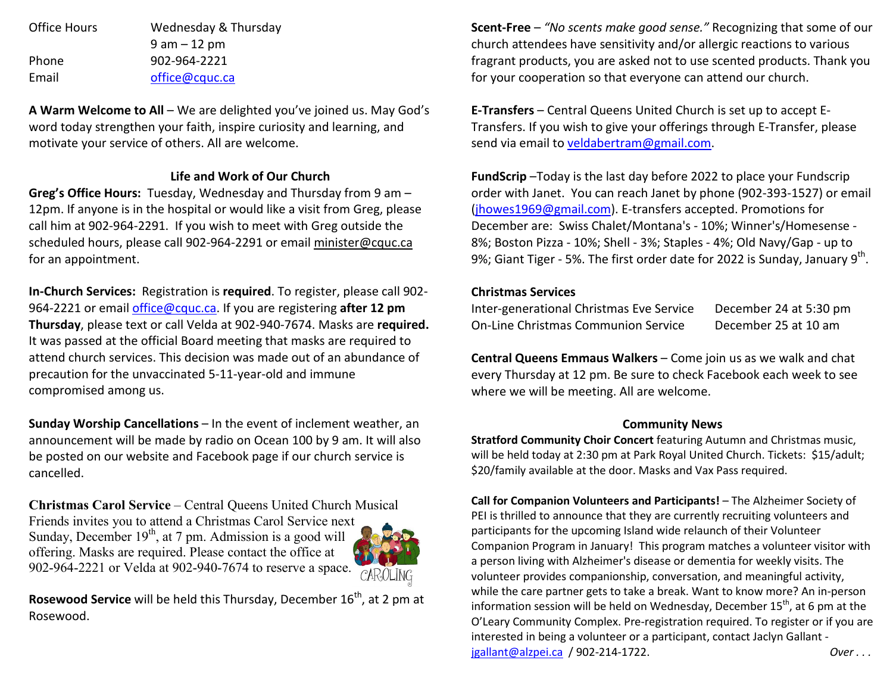Office Hours Wednesday & Thursday 9 am – 12 pm Phone 902-964-2221 Email office@cquc.ca

**A Warm Welcome to All** – We are delighted you've joined us. May God's word today strengthen your faith, inspire curiosity and learning, and motivate your service of others. All are welcome.

## **Life and Work of Our Church**

**Greg's Office Hours:** Tuesday, Wednesday and Thursday from 9 am – 12pm. If anyone is in the hospital or would like a visit from Greg, please call him at 902-964-2291. If you wish to meet with Greg outside the scheduled hours, please call 902-964-2291 or email minister@cquc.ca for an appointment.

**In-Church Services:** Registration is **required**. To register, please call 902- 964-2221 or email office@cquc.ca. If you are registering **after 12 pm Thursday**, please text or call Velda at 902-940-7674. Masks are **required.**It was passed at the official Board meeting that masks are required to attend church services. This decision was made out of an abundance of precaution for the unvaccinated 5-11-year-old and immune compromised among us.

**Sunday Worship Cancellations** – In the event of inclement weather, an announcement will be made by radio on Ocean 100 by 9 am. It will also be posted on our website and Facebook page if our church service is cancelled.

**Christmas Carol Service** – Central Queens United Church Musical Friends invites you to attend a Christmas Carol Service next Sunday, December  $19<sup>th</sup>$ , at 7 pm. Admission is a good will offering. Masks are required. Please contact the office at 902-964-2221 or Velda at 902-940-7674 to reserve a space.



**Rosewood Service** will be held this Thursday, December 16<sup>th</sup>, at 2 pm at Rosewood.

**Scent-Free** – *"No scents make good sense."* Recognizing that some of our church attendees have sensitivity and/or allergic reactions to various fragrant products, you are asked not to use scented products. Thank you for your cooperation so that everyone can attend our church.

**E-Transfers** – Central Queens United Church is set up to accept E-Transfers. If you wish to give your offerings through E-Transfer, please send via email to veldabertram@gmail.com.

**FundScrip** –Today is the last day before 2022 to place your Fundscrip order with Janet. You can reach Janet by phone (902-393-1527) or email (jhowes1969@gmail.com). E-transfers accepted. Promotions for December are: Swiss Chalet/Montana's - 10%; Winner's/Homesense - 8%; Boston Pizza - 10%; Shell - 3%; Staples - 4%; Old Navy/Gap - up to 9%; Giant Tiger - 5%. The first order date for 2022 is Sunday, January 9<sup>th</sup>.

### **Christmas Services**

| Inter-generational Christmas Eve Service   | December 24 at 5:30 pm |
|--------------------------------------------|------------------------|
| <b>On-Line Christmas Communion Service</b> | December 25 at 10 am   |

**Central Queens Emmaus Walkers** – Come join us as we walk and chat every Thursday at 12 pm. Be sure to check Facebook each week to see where we will be meeting. All are welcome.

#### **Community News**

 **Stratford Community Choir Concert** featuring Autumn and Christmas music, will be held today at 2:30 pm at Park Royal United Church. Tickets: \$15/adult; \$20/family available at the door. Masks and Vax Pass required.

**Call for Companion Volunteers and Participants!** – The Alzheimer Society of PEI is thrilled to announce that they are currently recruiting volunteers and participants for the upcoming Island wide relaunch of their Volunteer Companion Program in January! This program matches a volunteer visitor with a person living with Alzheimer's disease or dementia for weekly visits. The volunteer provides companionship, conversation, and meaningful activity, while the care partner gets to take a break. Want to know more? An in-person information session will be held on Wednesday, December 15<sup>th</sup>, at 6 pm at the O'Leary Community Complex. Pre-registration required. To register or if you are interested in being a volunteer or a participant, contact Jaclyn Gallant jgallant@alzpei.ca / 902-214-1722. *Over . . .*